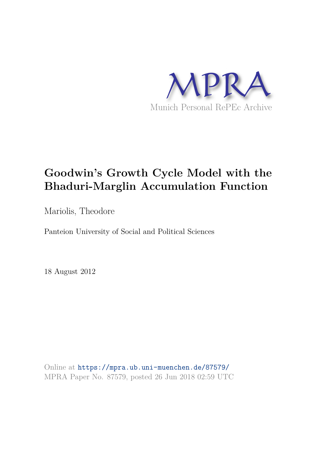

# **Goodwin's Growth Cycle Model with the Bhaduri-Marglin Accumulation Function**

Mariolis, Theodore

Panteion University of Social and Political Sciences

18 August 2012

Online at https://mpra.ub.uni-muenchen.de/87579/ MPRA Paper No. 87579, posted 26 Jun 2018 02:59 UTC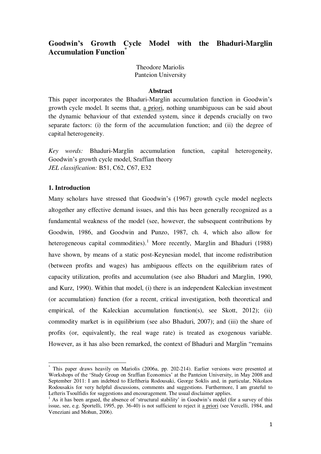# **Goodwin's Growth Cycle Model with the Bhaduri-Marglin Accumulation Function\***

Theodore Mariolis Panteion University

#### **Abstract**

This paper incorporates the Bhaduri-Marglin accumulation function in Goodwin"s growth cycle model. It seems that, a priori, nothing unambiguous can be said about the dynamic behaviour of that extended system, since it depends crucially on two separate factors: (i) the form of the accumulation function; and (ii) the degree of capital heterogeneity.

*Key words:* Bhaduri-Marglin accumulation function, capital heterogeneity, Goodwin"s growth cycle model, Sraffian theory *JEL classification:* B51, C62, C67, E32

## **1. Introduction**

 $\overline{a}$ 

Many scholars have stressed that Goodwin"s (1967) growth cycle model neglects altogether any effective demand issues, and this has been generally recognized as a fundamental weakness of the model (see, however, the subsequent contributions by Goodwin, 1986, and Goodwin and Punzo, 1987, ch. 4, which also allow for heterogeneous capital commodities).<sup>1</sup> More recently, Marglin and Bhaduri (1988) have shown, by means of a static post-Keynesian model, that income redistribution (between profits and wages) has ambiguous effects on the equilibrium rates of capacity utilization, profits and accumulation (see also Bhaduri and Marglin, 1990, and Kurz, 1990). Within that model, (i) there is an independent Kaleckian investment (or accumulation) function (for a recent, critical investigation, both theoretical and empirical, of the Kaleckian accumulation function(s), see Skott, 2012); (ii) commodity market is in equilibrium (see also Bhaduri, 2007); and (iii) the share of profits (or, equivalently, the real wage rate) is treated as exogenous variable. However, as it has also been remarked, the context of Bhaduri and Marglin "remains

<sup>\*</sup> This paper draws heavily on Mariolis (2006a, pp. 202-214). Earlier versions were presented at Workshops of the 'Study Group on Sraffian Economics' at the Panteion University, in May 2008 and September 2011: I am indebted to Eleftheria Rodousaki, George Soklis and, in particular, Nikolaos Rodousakis for very helpful discussions, comments and suggestions. Furthermore, I am grateful to Lefteris Tsoulfidis for suggestions and encouragement. The usual disclaimer applies.

<sup>&</sup>lt;sup>1</sup> As it has been argued, the absence of 'structural stability' in Goodwin's model (for a survey of this issue, see, e.g. Sportelli, 1995, pp. 36-40) is not sufficient to reject it a priori (see Vercelli, 1984, and Veneziani and Mohun, 2006).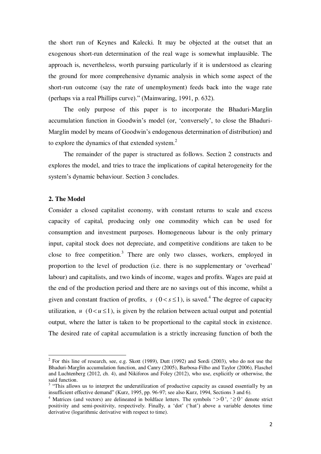the short run of Keynes and Kalecki. It may be objected at the outset that an exogenous short-run determination of the real wage is somewhat implausible. The approach is, nevertheless, worth pursuing particularly if it is understood as clearing the ground for more comprehensive dynamic analysis in which some aspect of the short-run outcome (say the rate of unemployment) feeds back into the wage rate (perhaps via a real Phillips curve)." (Mainwaring, 1991, p. 632).

 The only purpose of this paper is to incorporate the Bhaduri-Marglin accumulation function in Goodwin"s model (or, "conversely", to close the Bhaduri-Marglin model by means of Goodwin"s endogenous determination of distribution) and to explore the dynamics of that extended system. $2$ 

 The remainder of the paper is structured as follows. Section 2 constructs and explores the model, and tries to trace the implications of capital heterogeneity for the system"s dynamic behaviour. Section 3 concludes.

### **2. The Model**

 $\overline{a}$ 

Consider a closed capitalist economy, with constant returns to scale and excess capacity of capital, producing only one commodity which can be used for consumption and investment purposes. Homogeneous labour is the only primary input, capital stock does not depreciate, and competitive conditions are taken to be close to free competition.<sup>3</sup> There are only two classes, workers, employed in proportion to the level of production (i.e. there is no supplementary or "overhead" labour) and capitalists, and two kinds of income, wages and profits. Wages are paid at the end of the production period and there are no savings out of this income, whilst a given and constant fraction of profits,  $s \ (0 < s \leq 1)$ , is saved.<sup>4</sup> The degree of capacity utilization,  $u \ (0 \lt u \le 1)$ , is given by the relation between actual output and potential output, where the latter is taken to be proportional to the capital stock in existence. The desired rate of capital accumulation is a strictly increasing function of both the

 $2^2$  For this line of research, see, e.g. Skott (1989), Dutt (1992) and Sordi (2003), who do not use the Bhaduri-Marglin accumulation function, and Canry (2005), Barbosa-Filho and Taylor (2006), Flaschel and Luchtenberg (2012, ch. 4), and Nikiforos and Foley (2012), who use, explicitly or otherwise, the said function.

<sup>&</sup>lt;sup>3</sup> "This allows us to interpret the underutilization of productive capacity as caused essentially by an insufficient effective demand" (Kurz, 1995, pp. 96-97; see also Kurz, 1994, Sections 3 and 6).

<sup>&</sup>lt;sup>4</sup> Matrices (and vectors) are delineated in boldface letters. The symbols ' $> 0$ ', ' $\ge 0$ ' denote strict positivity and semi-positivity, respectively. Finally, a "dot" ("hat") above a variable denotes time derivative (logarithmic derivative with respect to time).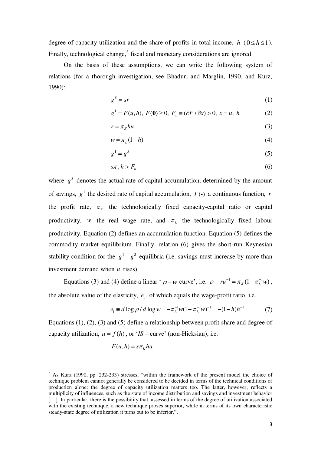degree of capacity utilization and the share of profits in total income,  $h(0 \leq h \leq 1)$ . Finally, technological change,<sup>5</sup> fiscal and monetary considerations are ignored.

 On the basis of these assumptions, we can write the following system of relations (for a thorough investigation, see Bhaduri and Marglin, 1990, and Kurz, 1990):

$$
g^S = sr \tag{1}
$$

$$
g^{I} = F(u, h), F(0) \ge 0, F_x \equiv (\partial F / \partial x) > 0, x = u, h
$$
 (2)

$$
r = \pi_k h u \tag{3}
$$

$$
w = \pi_L(1 - h) \tag{4}
$$

$$
g^1 = g^S \tag{5}
$$

$$
s\pi_k h > F_u \tag{6}
$$

where  $g<sup>s</sup>$  denotes the actual rate of capital accumulation, determined by the amount of savings,  $g^I$  the desired rate of capital accumulation,  $F(\cdot)$  a continuous function, *r* the profit rate,  $\pi_k$  the technologically fixed capacity-capital ratio or capital productivity, *w* the real wage rate, and  $\pi$ <sub>L</sub> the technologically fixed labour productivity. Equation (2) defines an accumulation function. Equation (5) defines the commodity market equilibrium. Finally, relation (6) gives the short-run Keynesian stability condition for the  $g<sup>T</sup> - g<sup>S</sup>$  equilibria (i.e. savings must increase by more than investment demand when *u* rises).

Equations (3) and (4) define a linear ' $\rho$  – w curve', i.e.  $\rho \equiv ru^{-1} = \pi_K (1 - \pi_L^{-1} w)$ , the absolute value of the elasticity,  $e_1$ , of which equals the wage-profit ratio, i.e.

$$
e_1 \equiv d \log \rho / d \log w = -\pi_L^{-1} w (1 - \pi_L^{-1} w)^{-1} = -(1 - h) h^{-1}
$$
 (7)

Equations (1), (2), (3) and (5) define a relationship between profit share and degree of capacity utilization,  $u = f(h)$ , or '*IS* – curve' (non-Hicksian), i.e.

$$
F(u, h) = s\pi_K hu
$$

 $\overline{a}$ 

<sup>&</sup>lt;sup>5</sup> As Kurz (1990, pp. 232-233) stresses, "within the framework of the present model the choice of technique problem cannot generally be considered to be decided in terms of the technical conditions of production alone: the degree of capacity utilization matters too. The latter, however, reflects a multiplicity of influences, such as the state of income distribution and savings and investment behavior [...]. In particular, there is the possibility that, assessed in terms of the degree of utilization associated with the existing technique, a new technique proves superior, while in terms of its own characteristic steady-state degree of utilization it turns out to be inferior.".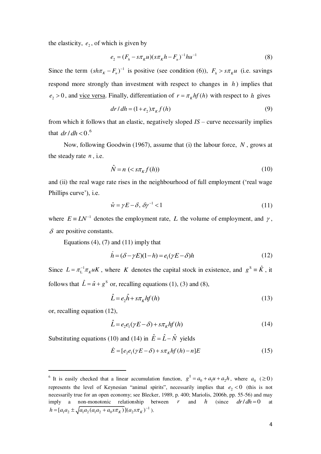the elasticity,  $e_2$ , of which is given by

$$
e_2 = (F_h - s\pi_K u)(s\pi_K h - F_u)^{-1} h u^{-1}
$$
\n(8)

Since the term  $(sh \pi_K - F_u)^{-1}$  is positive (see condition (6)),  $F_h > s \pi_K u$  (i.e. savings respond more strongly than investment with respect to changes in *h* ) implies that  $e_2 > 0$ , and <u>vice versa</u>. Finally, differentiation of  $r = \pi_k hf(h)$  with respect to *h* gives

$$
dr/dh = (1 + e2)\piK f(h)
$$
\n(9)

from which it follows that an elastic, negatively sloped *IS* – curve necessarily implies that  $dr/dh < 0.6$ 

 Now, following Goodwin (1967), assume that (i) the labour force, *N* , grows at the steady rate *n* , i.e.

$$
\hat{N} = n \left( \langle s \pi_K f(h) \rangle \right) \tag{10}
$$

and (ii) the real wage rate rises in the neighbourhood of full employment ("real wage Phillips curve'), *i.e.* 

$$
\hat{w} = \gamma E - \delta, \ \delta \gamma^{-1} < 1 \tag{11}
$$

where  $E = LN^{-1}$  denotes the employment rate, *L* the volume of employment, and  $\gamma$ ,  $\delta$  are positive constants.

Equations  $(4)$ ,  $(7)$  and  $(11)$  imply that

$$
\dot{h} = (\delta - \gamma E)(1 - h) = e_1(\gamma E - \delta)h\tag{12}
$$

Since  $L = \pi_L^{-1} \pi_K uK$ , where *K* denotes the capital stock in existence, and  $g^S = \hat{K}$ , it follows that  $\hat{L} = \hat{u} + g^s$  or, recalling equations (1), (3) and (8),

$$
\hat{L} = e_2 \hat{h} + s \pi_K h f(h) \tag{13}
$$

or, recalling equation (12),

 $\overline{a}$ 

$$
\hat{L} = e_2 e_1 (\gamma E - \delta) + s \pi_k h f(h)
$$
\n(14)

Substituting equations (10) and (14) in  $\hat{E} = \hat{L} - \hat{N}$  yields

$$
\dot{E} = [e_2 e_1 (\gamma E - \delta) + s \pi_K h f(h) - n]E \tag{15}
$$

<sup>&</sup>lt;sup>6</sup> It is easily checked that a linear accumulation function,  $g^I = a_0 + a_1 u + a_2 h$ , where  $a_0$  ( $\geq 0$ ) represents the level of Keynesian "animal spirits", necessarily implies that  $e_2 < 0$  (this is not necessarily true for an open economy; see Blecker, 1989, p. 400; Mariolis, 2006b, pp. 55-56) and may imply a non-monotonic relationship between *r* and *h* (since  $dr/dh = 0$  at  $h = [a_1 a_2 \pm \sqrt{a_1 a_2 (a_1 a_2 + a_0 s \pi_K)}](a_2 s \pi_K)^{-1}$ ).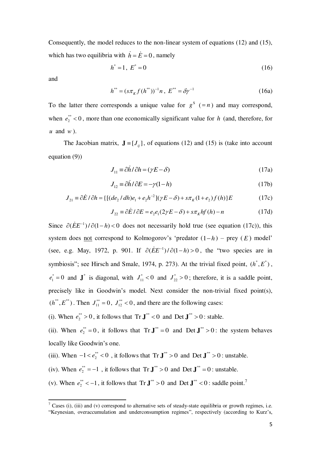Consequently, the model reduces to the non-linear system of equations (12) and (15), which has two equilibria with  $\dot{h} = \dot{E} = 0$ , namely

$$
h^* = 1, \ E^* = 0 \tag{16}
$$

and

 $\overline{a}$ 

$$
h^{**} = (s\pi_K f (h^{**}))^{-1} n, \ E^{**} = \delta \gamma^{-1}
$$
 (16a)

To the latter there corresponds a unique value for  $g^s$  (=n) and may correspond, when  $e_2^*$  < 0, more than one economically significant value for *h* (and, therefore, for *u* and *w* ).

The Jacobian matrix,  $J = [J_{ij}]$ , of equations (12) and (15) is (take into account equation (9))

$$
J_{11} \equiv \partial \dot{h} / \partial h = (\gamma E - \delta) \tag{17a}
$$

$$
J_{12} \equiv \partial \dot{h} / \partial E = -\gamma (1 - h) \tag{17b}
$$

$$
J_{21} \equiv \partial \dot{E} / \partial h = \{ [(de_2 / dh)e_1 + e_2 h^{-2}](\gamma E - \delta) + s\pi_K (1 + e_2) f(h) \} E \tag{17c}
$$

$$
J_{22} \equiv \partial \dot{E} \, / \, \partial E = e_2 e_1 (2\gamma E - \delta) + s \pi_K h f(h) - n \tag{17d}
$$

Since  $\partial (E E^{-1}) / \partial (1 - h) < 0$  does not necessarily hold true (see equation (17c)), this system does <u>not</u> correspond to Kolmogorov's 'predator  $(1-h)$  – prey  $(E)$  model' (see, e.g. May, 1972, p. 901. If  $\partial (EE^{-1})/\partial (1-h) > 0$ , the "two species are in symbiosis"; see Hirsch and Smale, 1974, p. 273). At the trivial fixed point,  $(h^*, E^*)$ , \*  $e_1^* = 0$  and  $\mathbf{J}^*$  is diagonal, with  $J_{11}^* < 0$  and  $J_{22}^* > 0$ ; therefore, it is a saddle point, precisely like in Goodwin's model. Next consider the non-trivial fixed point(s),  $(h^{**}, E^{**})$ . Then  $J_{11}^{**} = 0$ ,  $J_{12}^{**} < 0$ , and there are the following cases:

(i). When  $e_2^* > 0$ , it follows that  $Tr J^* < 0$  and  $Det J^* > 0$ : stable.

(ii). When  $e_2^{**} = 0$ , it follows that  $Tr J^{**} = 0$  and  $Det J^{**} > 0$ : the system behaves locally like Goodwin's one.

(iii). When  $-1 < e_2^{**} < 0$ , it follows that  $\text{Tr } \mathbf{J}^{**} > 0$  and  $\text{Det } \mathbf{J}^{**} > 0$ : unstable.

(iv). When  $e_2^{**} = -1$ , it follows that  $Tr J^{**} > 0$  and  $Det J^{**} = 0$ : unstable.

(v). When  $e_2^* < -1$ , it follows that  $Tr J^{**} > 0$  and  $Det J^{**} < 0$ : saddle point.<sup>7</sup>

<sup>&</sup>lt;sup>7</sup> Cases (i), (iii) and (v) correspond to alternative sets of steady-state equilibria or growth regimes, i.e. "Keynesian, overaccumulation and underconsumption regimes", respectively (according to Kurz"s,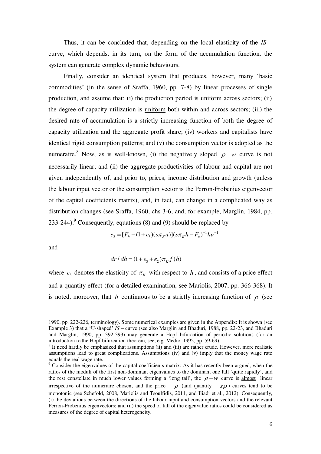Thus, it can be concluded that, depending on the local elasticity of the *IS* – curve, which depends, in its turn, on the form of the accumulation function, the system can generate complex dynamic behaviours.

 Finally, consider an identical system that produces, however, many "basic commodities" (in the sense of Sraffa, 1960, pp. 7-8) by linear processes of single production, and assume that: (i) the production period is uniform across sectors; (ii) the degree of capacity utilization is uniform both within and across sectors; (iii) the desired rate of accumulation is a strictly increasing function of both the degree of capacity utilization and the aggregate profit share; (iv) workers and capitalists have identical rigid consumption patterns; and (v) the consumption vector is adopted as the numeraire.<sup>8</sup> Now, as is well-known, (i) the negatively sloped  $\rho-w$  curve is not necessarily linear; and (ii) the aggregate productivities of labour and capital are not given independently of, and prior to, prices, income distribution and growth (unless the labour input vector or the consumption vector is the Perron-Frobenius eigenvector of the capital coefficients matrix), and, in fact, can change in a complicated way as distribution changes (see Sraffa, 1960, chs 3-6, and, for example, Marglin, 1984, pp. 233-244). Consequently, equations  $(8)$  and  $(9)$  should be replaced by

$$
e_2 = [F_h - (1 + e_3)(s\pi_K u)](s\pi_K h - F_u)^{-1} hu^{-1}
$$

and

l,

$$
dr/dh = (1 + e3 + e2)\piK f(h)
$$

where  $e_3$  denotes the elasticity of  $\pi_K$  with respect to *h*, and consists of a price effect and a quantity effect (for a detailed examination, see Mariolis, 2007, pp. 366-368). It is noted, moreover, that *h* continuous to be a strictly increasing function of  $\rho$  (see

<sup>1990,</sup> pp. 222-226, terminology). Some numerical examples are given in the Appendix: It is shown (see Example 3) that a "U-shaped" *IS –* curve (see also Marglin and Bhaduri, 1988, pp. 22-23, and Bhaduri and Marglin, 1990, pp. 392-393) may generate a Hopf bifurcation of periodic solutions (for an introduction to the Hopf bifurcation theorem, see, e.g. Medio, 1992, pp. 59-69).

<sup>&</sup>lt;sup>8</sup> It need hardly be emphasized that assumptions (ii) and (iii) are rather crude. However, more realistic assumptions lead to great complications. Assumptions (iv) and (v) imply that the money wage rate equals the real wage rate.

 $\degree$  Consider the eigenvalues of the capital coefficients matrix: As it has recently been argued, when the ratios of the moduli of the first non-dominant eigenvalues to the dominant one fall "quite rapidly", and the rest constellate in much lower values forming a 'long tail', the  $\rho - w$  curve is almost linear irrespective of the numeraire chosen, and the price –  $\rho$  (and quantity – *s* $\rho$ ) curves tend to be monotonic (see Schefold, 2008, Mariolis and Tsoulfidis, 2011, and Iliadi et al., 2012). Consequently, (i) the deviations between the directions of the labour input and consumption vectors and the relevant Perron-Frobenius eigenvectors; and (ii) the speed of fall of the eigenvalue ratios could be considered as measures of the degree of capital heterogeneity.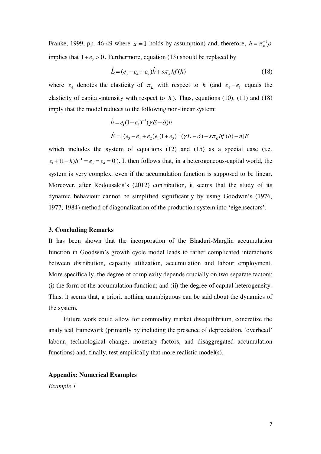Franke, 1999, pp. 46-49 where  $u = 1$  holds by assumption) and, therefore,  $h = \pi_K^{-1} \rho$ implies that  $1 + e_3 > 0$ . Furthermore, equation (13) should be replaced by

$$
\hat{L} = (e_3 - e_4 + e_2)\hat{h} + s\pi_k hf(h)
$$
\n(18)

where  $e_4$  denotes the elasticity of  $\pi$ <sub>L</sub> with respect to *h* (and  $e_4 - e_3$  equals the elasticity of capital-intensity with respect to  $h$ ). Thus, equations (10), (11) and (18) imply that the model reduces to the following non-linear system:

$$
\dot{h} = e_1 (1 + e_3)^{-1} (\gamma E - \delta) h
$$
  
\n
$$
\dot{E} = [(e_3 - e_4 + e_2)e_1 (1 + e_3)^{-1} (\gamma E - \delta) + s \pi_K h f(h) - n] E
$$

which includes the system of equations (12) and (15) as a special case (i.e.  $e_1 + (1 - h)h^{-1} = e_3 = e_4 = 0$ . It then follows that, in a heterogeneous-capital world, the system is very complex, even if the accumulation function is supposed to be linear. Moreover, after Rodousakis's (2012) contribution, it seems that the study of its dynamic behaviour cannot be simplified significantly by using Goodwin"s (1976, 1977, 1984) method of diagonalization of the production system into "eigensectors".

#### **3. Concluding Remarks**

It has been shown that the incorporation of the Bhaduri-Marglin accumulation function in Goodwin"s growth cycle model leads to rather complicated interactions between distribution, capacity utilization, accumulation and labour employment. More specifically, the degree of complexity depends crucially on two separate factors: (i) the form of the accumulation function; and (ii) the degree of capital heterogeneity. Thus, it seems that, a priori, nothing unambiguous can be said about the dynamics of the system.

 Future work could allow for commodity market disequilibrium, concretize the analytical framework (primarily by including the presence of depreciation, "overhead" labour, technological change, monetary factors, and disaggregated accumulation functions) and, finally, test empirically that more realistic model(s).

#### **Appendix: Numerical Examples**

*Example 1*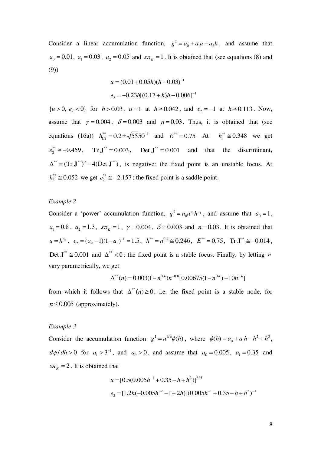Consider a linear accumulation function,  $g^I = a_0 + a_1 u + a_2 h$ , and assume that  $a_0 = 0.01$ ,  $a_1 = 0.03$ ,  $a_2 = 0.05$  and  $s\pi<sub>K</sub> = 1$ . It is obtained that (see equations (8) and (9))

$$
u = (0.01 + 0.05h)(h - 0.03)^{-1}
$$
  

$$
e_2 = -0.23h[(0.17 + h)h - 0.006]^{-1}
$$

 $\{u > 0, e_2 < 0\}$  for  $h > 0.03$ ,  $u = 1$  at  $h \approx 0.042$ , and  $e_2 = -1$  at  $h \approx 0.113$ . Now, assume that  $\gamma = 0.004$ ,  $\delta = 0.003$  and  $n = 0.03$ . Thus, it is obtained that (see equations (16a))  $h_{1,2}^{**} = 0.2 \pm \sqrt{5550^{-1}}$  and  $E^{**} = 0.75$ . At  $h_1^{**} \approx 0.348$  we get \*\*  $e_2^{**} \approx -0.459$ , Tr  $\mathbf{J}^{**} \approx 0.003$ , Det  $\mathbf{J}^{**} \approx 0.001$  and that the discriminant,  $\Delta^{**} = (\text{Tr } \mathbf{J}^{**})^2 - 4(\text{Det } \mathbf{J}^{**})$ , is negative: the fixed point is an unstable focus. At \*\*  $h_2^{**} \approx 0.052$  we get  $e_2^{**} \approx -2.157$ : the fixed point is a saddle point.

#### *Example 2*

Consider a 'power' accumulation function,  $g^I = a_0 u^{a_1} h^{a_2}$ , and assume that  $a_0 = 1$ ,  $a_1 = 0.8$ ,  $a_2 = 1.3$ ,  $s\pi_k = 1$ ,  $\gamma = 0.004$ ,  $\delta = 0.003$  and  $n = 0.03$ . It is obtained that  $u = h^{e_2}$ ,  $e_2 = (a_2 - 1)(1 - a_1)^{-1} = 1.5$ ,  $h^{**} = n^{0.4} \approx 0.246$ ,  $E^{**} = 0.75$ ,  $Tr J^{**} \approx -0.014$ , Det  $J^* \approx 0.001$  and  $\Delta^{**} < 0$ : the fixed point is a stable focus. Finally, by letting *n* vary parametrically, we get

$$
\Delta^{**}(n) = 0.003(1 - n^{0.4})n^{-0.8}[0.00675(1 - n^{0.4}) - 10n^{1.4}]
$$

from which it follows that  $\Delta^{**}(n) \ge 0$ , i.e. the fixed point is a stable node, for  $n \leq 0.005$  (approximately).

#### *Example 3*

Consider the accumulation function  $g^I = u^{1/6} \phi(h)$ , where  $\phi(h) = a_0 + a_1 h - h^2 + h^3$ ,  $d\phi/dh > 0$  for  $a_1 > 3^{-1}$ , and  $a_0 > 0$ , and assume that  $a_0 = 0.005$ ,  $a_1 = 0.35$  and  $s\pi_k = 2$ . It is obtained that

$$
u = [0.5(0.005h^{-1} + 0.35 - h + h^{2})]^{6/5}
$$
  

$$
e_2 = [1.2h(-0.005h^{-2} - 1 + 2h)](0.005h^{-1} + 0.35 - h + h^{2})^{-1}
$$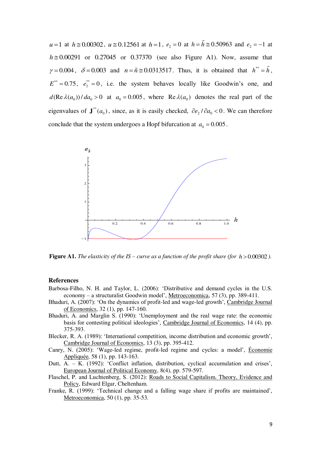$u = 1$  at  $h \approx 0.00302$ ,  $u \approx 0.12561$  at  $h = 1$ ,  $e_2 = 0$  at  $h = \tilde{h} \approx 0.50963$  and  $e_2 = -1$  at  $h \approx 0.00291$  or 0.27045 or 0.37370 (see also Figure A1). Now, assume that  $\gamma = 0.004$ ,  $\delta = 0.003$  and  $n = \tilde{n} \approx 0.0313517$ . Thus, it is obtained that  $h^{**} = \tilde{h}$ ,  $E^{**} = 0.75, e_2^{**}$  $e_2^* = 0$ , i.e. the system behaves locally like Goodwin's one, and  $d(\text{Re }\lambda(a_0))/da_0 > 0$  at  $a_0 = 0.005$ , where  $\text{Re }\lambda(a_0)$  denotes the real part of the eigenvalues of  $J^{*}(a_0)$ , since, as it is easily checked,  $\partial e_2 / \partial a_0 < 0$ . We can therefore conclude that the system undergoes a Hopf bifurcation at  $a_0 = 0.005$ .



**Figure A1.** *The elasticity of the IS – curve as a function of the profit share (for*  $h > 0.00302$ *).* 

#### **References**

- Barbosa-Filho, N. H. and Taylor, L. (2006): "Distributive and demand cycles in the U.S. economy – a structuralist Goodwin model", Metroeconomica, 57 (3), pp. 389-411.
- Bhaduri, A. (2007): "On the dynamics of profit-led and wage-led growth", Cambridge Journal of Economics, 32 (1), pp. 147-160.
- Bhaduri, A. and Marglin S. (1990): "Unemployment and the real wage rate: the economic basis for contesting political ideologies', Cambridge Journal of Economics, 14 (4), pp. 375-393.
- Blecker, R. A. (1989): 'International competition, income distribution and economic growth', Cambridge Journal of Economics, 13 (3), pp. 395-412.
- Canry, N. (2005): 'Wage-led regime, profit-led regime and cycles: a model', Économie Appliquée, 58 (1), pp. 143-163.
- Dutt, A. K. (1992): 'Conflict inflation, distribution, cyclical accumulation and crises', European Journal of Political Economy, 8(4), pp. 579-597.
- Flaschel, P. and Luchtenberg, S. (2012): Roads to Social Capitalism. Theory, Evidence and Policy, Edward Elgar, Cheltenham.
- Franke, R. (1999): "Technical change and a falling wage share if profits are maintained", Metroeconomica, 50 (1), pp. 35-53.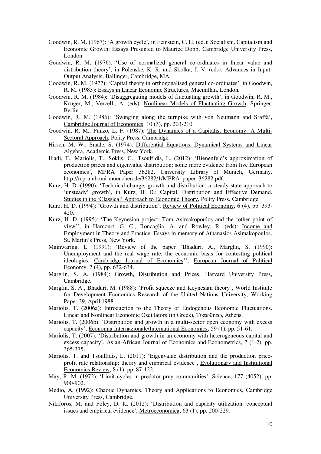- Goodwin, R. M. (1967): 'A growth cycle', in Feinstein, C. H. (ed.): Socialism, Capitalism and Economic Growth: Essays Presented to Maurice Dobb, Cambridge University Press, London.
- Goodwin, R. M. (1976): "Use of normalized general co-ordinates in linear value and distribution theory", in Polenske, K. R. and Skolka, J. V. (eds): Advances in Input-Output Analysis, Ballinger, Cambridge, MA.
- Goodwin, R. M. (1977): "Capital theory in orthogonalised general co-ordinates", in Goodwin, R. M. (1983): Essays in Linear Economic Structures, Macmillan, London.
- Goodwin, R. M. (1984): "Disaggregating models of fluctuating growth", in Goodwin, R. M., Krüger, M., Vercelli, A. (eds): Nonlinear Models of Fluctuating Growth, Springer, Berlin.
- Goodwin, R. M. (1986): "Swinging along the turnpike with von Neumann and Sraffa", Cambridge Journal of Economics, 10 (3), pp. 203-210.
- Goodwin, R. M., Punzo, L. F. (1987): The Dynamics of a Capitalist Economy: A Multi-Sectoral Approach, Polity Press, Cambridge.
- Hirsch, M. W., Smale, S. (1974): Differential Equations, Dynamical Systems and Linear Algebra, Academic Press, New York.
- Iliadi, F., Mariolis, T., Soklis, G., Tsoulfidis, L. (2012): "Bienenfeld"s approximation of production prices and eigenvalue distribution: some more evidence from five European economies', [MPRA Paper](http://ideas.repec.org/s/pra/mprapa.html) 36282, University Library of Munich, Germany, http://mpra.ub.uni-muenchen.de/36282/1/MPRA\_paper\_36282.pdf.
- Kurz, H. D. (1990): "Technical change, growth and distribution: a steady-state approach to 'unsteady' growth', in Kurz, H. D.: Capital, Distribution and Effective Demand. Studies in the "Classical" Approach to Economic Theory, Polity Press, Cambridge.
- Kurz, H. D. (1994): "Growth and distribution", Review of Political Economy, 6 (4), pp. 393- 420.
- Kurz, H. D. (1995): "The Keynesian project: Tom Asimakopoulos and the "other point of view", in Harcourt, G. C., Roncaglia, A. and Rowley, R. (eds): Income and Employment in Theory and Practice: Essays in memory of Athanasios Asimakopoulos, St. Martin"s Press, New York.
- Mainwaring, L. (1991): "Review of the paper "Bhaduri, A., Marglin, S. (1990): Unemployment and the real wage rate: the economic basis for contesting political ideologies, Cambridge Journal of Economics", European Journal of Political Economy, 7 (4), pp. 632-634.
- Marglin, S. A. (1984): Growth, Distribution and Prices, Harvard University Press, Cambridge.
- Marglin, S. A., Bhaduri, M. (1988): 'Profit squeeze and Keynesian theory', World Institute for Development Economics Research of the United Nations University, Working Paper 39, April 1988.
- Mariolis, T. (2006a): Introduction to the Theory of Endogenous Economic Fluctuations. Linear and Nonlinear Economic Oscillators (in Greek), Τυπωθήτω, Athens.
- Mariolis, T. (2006b): 'Distribution and growth in a multi-sector open economy with excess capacity", Economia Internazionale/International Economics, 59 (1), pp. 51-61.
- Mariolis, T. (2007): "Distribution and growth in an economy with heterogeneous capital and excess capacity', Asian-African Journal of Economics and Econometrics, 7 (1-2), pp. 365-375.
- Mariolis, T. and Tsoulfidis, L. (2011): "Eigenvalue distribution and the production priceprofit rate relationship: theory and empirical evidence', Evolutionary and Institutional Economics Review, 8 (1), pp. 87-122.
- May, R. M. (1972): 'Limit cycles in predator-prey communities', Science, 177 (4052), pp. 900-902.
- Medio, A. (1992): Chaotic Dynamics. Theory and Applications to Economics, Cambridge University Press, Cambridge.
- Nikiforos, M. and Foley, D. K. (2012): "Distribution and capacity utilization: conceptual issues and empirical evidence", Metroeconomica, 63 (1), pp. 200-229.